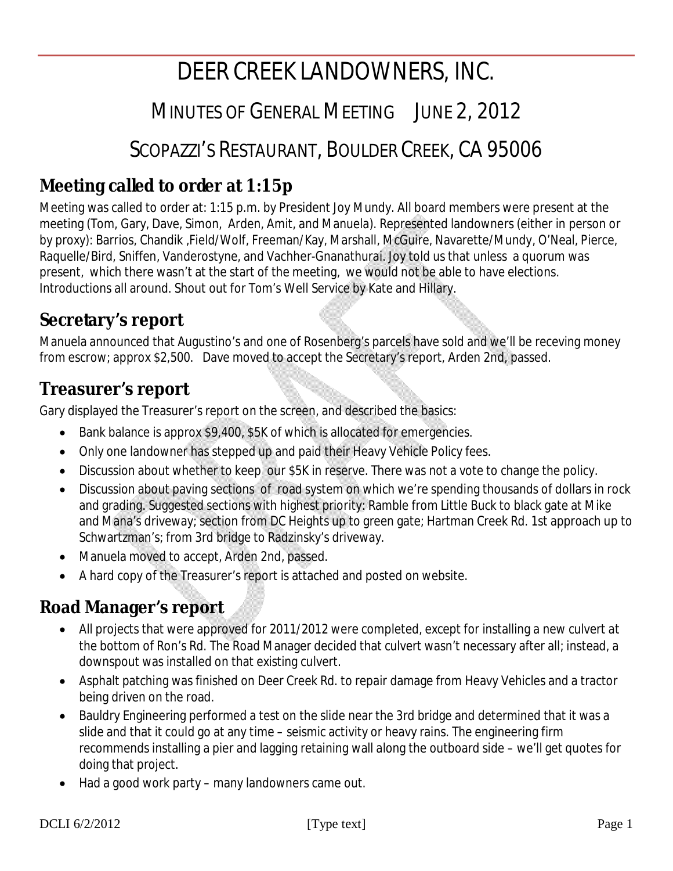# DEER CREEK LANDOWNERS, INC.

# MINUTES OF GENERAL MEETING JUNE 2, 2012

# SCOPAZZI'S RESTAURANT, BOULDER CREEK, CA 95006

# **Meeting called to order at 1:15p**

Meeting was called to order at: 1:15 p.m. by President Joy Mundy. All board members were present at the meeting (Tom, Gary, Dave, Simon, Arden, Amit, and Manuela). Represented landowners (either in person or by proxy): Barrios, Chandik ,Field/Wolf, Freeman/Kay, Marshall, McGuire, Navarette/Mundy, O'Neal, Pierce, Raquelle/Bird, Sniffen, Vanderostyne, and Vachher-Gnanathurai. Joy told us that unless a quorum was present, which there wasn't at the start of the meeting, we would not be able to have elections. Introductions all around. Shout out for Tom's Well Service by Kate and Hillary.

# **Secretary's report**

Manuela announced that Augustino's and one of Rosenberg's parcels have sold and we'll be receving money from escrow; approx \$2,500. Dave moved to accept the Secretary's report, Arden 2nd, passed.

# **Treasurer's report**

Gary displayed the Treasurer's report on the screen, and described the basics:

- Bank balance is approx \$9,400, \$5K of which is allocated for emergencies.
- Only one landowner has stepped up and paid their Heavy Vehicle Policy fees.
- Discussion about whether to keep our \$5K in reserve. There was not a vote to change the policy.
- Discussion about paving sections of road system on which we're spending thousands of dollars in rock and grading. Suggested sections with highest priority: Ramble from Little Buck to black gate at Mike and Mana's driveway; section from DC Heights up to green gate; Hartman Creek Rd. 1st approach up to Schwartzman's; from 3rd bridge to Radzinsky's driveway.
- Manuela moved to accept, Arden 2nd, passed.
- A hard copy of the Treasurer's report is attached and posted on website.

### **Road Manager's report**

- All projects that were approved for 2011/2012 were completed, except for installing a new culvert at the bottom of Ron's Rd. The Road Manager decided that culvert wasn't necessary after all; instead, a downspout was installed on that existing culvert.
- Asphalt patching was finished on Deer Creek Rd. to repair damage from Heavy Vehicles and a tractor being driven on the road.
- Bauldry Engineering performed a test on the slide near the 3rd bridge and determined that it was a slide and that it could go at any time – seismic activity or heavy rains. The engineering firm recommends installing a pier and lagging retaining wall along the outboard side – we'll get quotes for doing that project.
- Had a good work party many landowners came out.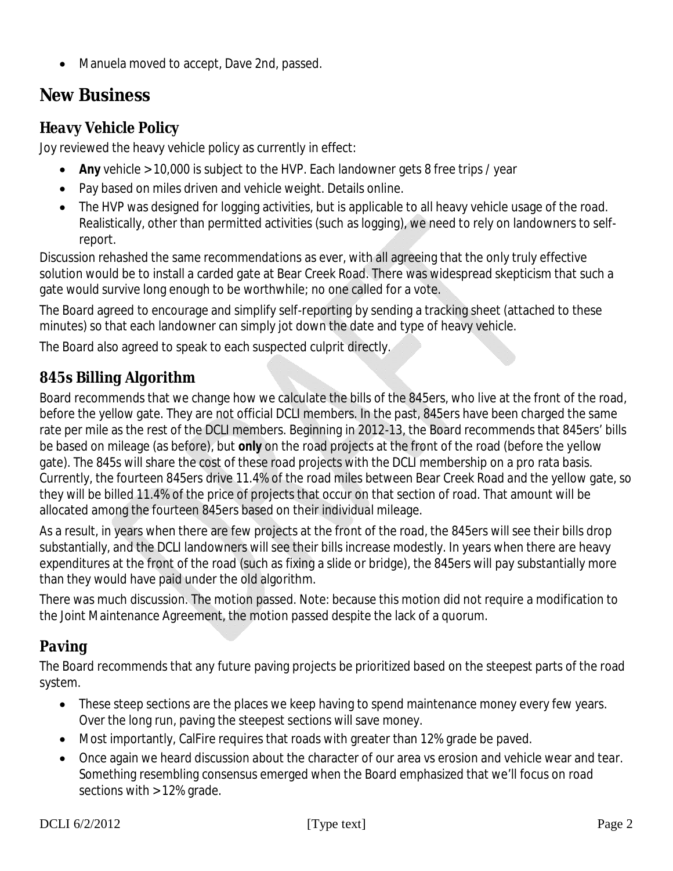• Manuela moved to accept, Dave 2nd, passed.

# **New Business**

#### *Heavy Vehicle Policy*

Joy reviewed the heavy vehicle policy as currently in effect:

- **Any** vehicle > 10,000 is subject to the HVP. Each landowner gets 8 free trips / year
- Pay based on miles driven and vehicle weight. Details online.
- The HVP was designed for logging activities, but is applicable to all heavy vehicle usage of the road. Realistically, other than permitted activities (such as logging), we need to rely on landowners to selfreport.

Discussion rehashed the same recommendations as ever, with all agreeing that the only truly effective solution would be to install a carded gate at Bear Creek Road. There was widespread skepticism that such a gate would survive long enough to be worthwhile; no one called for a vote.

The Board agreed to encourage and simplify self-reporting by sending a tracking sheet (attached to these minutes) so that each landowner can simply jot down the date and type of heavy vehicle.

The Board also agreed to speak to each suspected culprit directly.

#### *845s Billing Algorithm*

Board recommends that we change how we calculate the bills of the 845ers, who live at the front of the road, before the yellow gate. They are not official DCLI members. In the past, 845ers have been charged the same rate per mile as the rest of the DCLI members. Beginning in 2012-13, the Board recommends that 845ers' bills be based on mileage (as before), but *only* on the road projects at the front of the road (before the yellow gate). The 845s will share the cost of these road projects with the DCLI membership on a pro rata basis. Currently, the fourteen 845ers drive 11.4% of the road miles between Bear Creek Road and the yellow gate, so they will be billed 11.4% of the price of projects that occur on that section of road. That amount will be allocated among the fourteen 845ers based on their individual mileage.

As a result, in years when there are few projects at the front of the road, the 845ers will see their bills drop substantially, and the DCLI landowners will see their bills increase modestly. In years when there are heavy expenditures at the front of the road (such as fixing a slide or bridge), the 845ers will pay substantially more than they would have paid under the old algorithm.

There was much discussion. The motion passed. Note: because this motion did not require a modification to the Joint Maintenance Agreement, the motion passed despite the lack of a quorum.

### *Paving*

The Board recommends that any future paving projects be prioritized based on the steepest parts of the road system.

- These steep sections are the places we keep having to spend maintenance money every few years. Over the long run, paving the steepest sections will save money.
- Most importantly, CalFire requires that roads with greater than 12% grade be paved.
- Once again we heard discussion about the character of our area vs erosion and vehicle wear and tear. Something resembling consensus emerged when the Board emphasized that we'll focus on road sections with > 12% grade.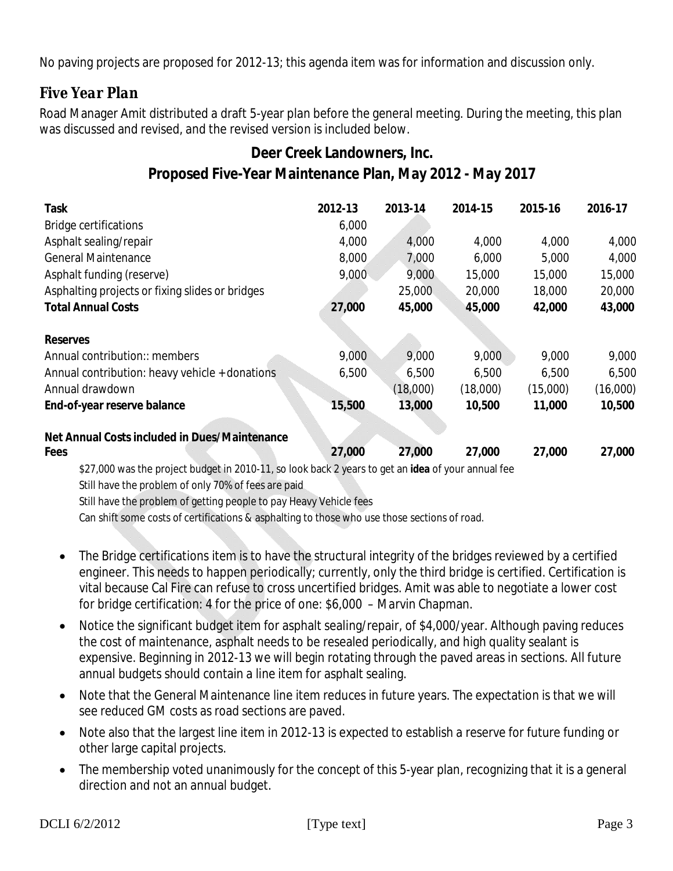No paving projects are proposed for 2012-13; this agenda item was for information and discussion only.

#### *Five Year Plan*

Road Manager Amit distributed a draft 5-year plan before the general meeting. During the meeting, this plan was discussed and revised, and the revised version is included below.

#### **Deer Creek Landowners, Inc. Proposed Five-Year Maintenance Plan, May 2012 - May 2017**

| <b>Task</b>                                     | 2012-13 | 2013-14  | 2014-15  | 2015-16  | 2016-17  |
|-------------------------------------------------|---------|----------|----------|----------|----------|
| <b>Bridge certifications</b>                    | 6,000   |          |          |          |          |
| Asphalt sealing/repair                          | 4,000   | 4,000    | 4,000    | 4,000    | 4,000    |
| <b>General Maintenance</b>                      | 8,000   | 7,000    | 6,000    | 5,000    | 4,000    |
| Asphalt funding (reserve)                       | 9,000   | 9,000    | 15,000   | 15,000   | 15,000   |
| Asphalting projects or fixing slides or bridges |         | 25,000   | 20,000   | 18,000   | 20,000   |
| <b>Total Annual Costs</b>                       | 27,000  | 45,000   | 45,000   | 42,000   | 43,000   |
| <b>Reserves</b>                                 |         |          |          |          |          |
| Annual contribution:: members                   | 9,000   | 9,000    | 9,000    | 9,000    | 9,000    |
| Annual contribution: heavy vehicle + donations  | 6,500   | 6,500    | 6,500    | 6,500    | 6,500    |
| Annual drawdown                                 |         | (18,000) | (18,000) | (15,000) | (16,000) |
| End-of-year reserve balance                     | 15,500  | 13,000   | 10,500   | 11,000   | 10,500   |
| Net Annual Costs included in Dues/Maintenance   |         |          |          |          |          |
| <b>Fees</b>                                     | 27,000  | 27,000   | 27,000   | 27,000   | 27,000   |
| $1000$ $11$ $11$ $1000$ $11$ $100$              |         |          |          |          |          |

\$27,000 was the project budget in 2010-11, so look back 2 years to get an *idea* of your annual fee Still have the problem of only 70% of fees are paid

Still have the problem of getting people to pay Heavy Vehicle fees

Can shift some costs of certifications & asphalting to those who use those sections of road.

- The Bridge certifications item is to have the structural integrity of the bridges reviewed by a certified engineer. This needs to happen periodically; currently, only the third bridge is certified. Certification is vital because Cal Fire can refuse to cross uncertified bridges. Amit was able to negotiate a lower cost for bridge certification: 4 for the price of one: \$6,000 – Marvin Chapman.
- Notice the significant budget item for asphalt sealing/repair, of \$4,000/year. Although paving reduces the cost of maintenance, asphalt needs to be resealed periodically, and high quality sealant is expensive. Beginning in 2012-13 we will begin rotating through the paved areas in sections. All future annual budgets should contain a line item for asphalt sealing.
- Note that the General Maintenance line item reduces in future years. The expectation is that we will see reduced GM costs as road sections are paved.
- Note also that the largest line item in 2012-13 is expected to establish a reserve for future funding or other large capital projects.
- The membership voted unanimously for the concept of this 5-year plan, recognizing that it is a general direction and not an annual budget.